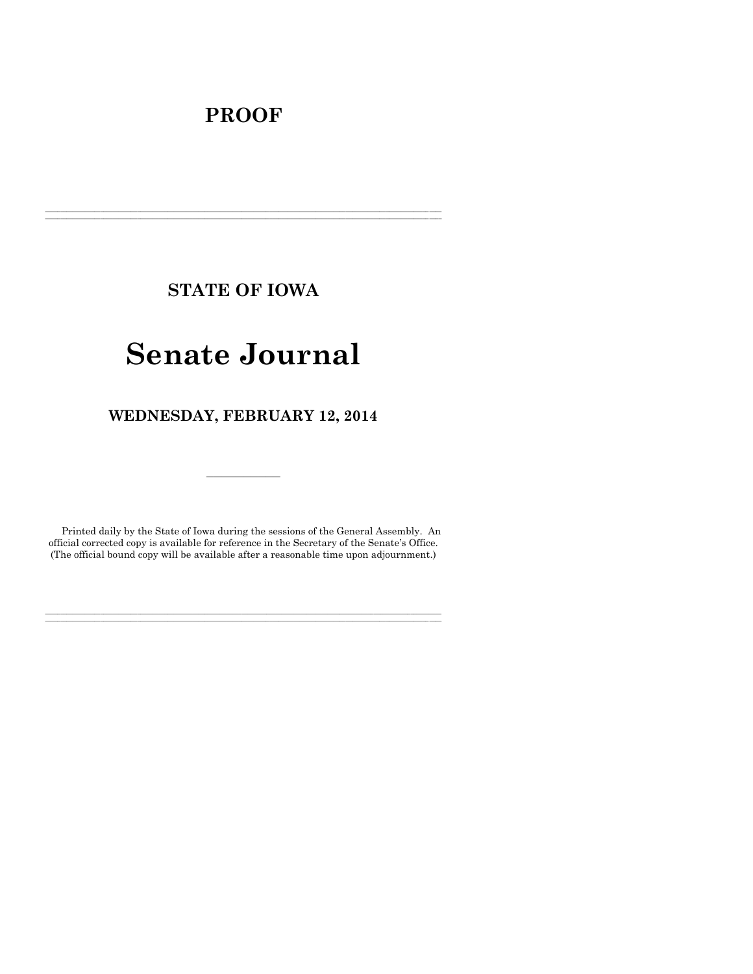# **PROOF**

**STATE OF IOWA**

**\_\_\_\_\_\_\_\_\_\_\_\_\_\_\_\_\_\_\_\_\_\_\_\_\_\_\_\_\_\_\_\_\_\_\_\_\_\_\_\_\_\_\_\_\_\_\_\_\_\_\_\_\_\_\_\_\_\_\_\_\_\_\_\_\_\_\_\_\_\_\_\_\_\_\_\_\_\_\_\_\_\_\_\_\_\_\_\_\_\_\_\_\_\_\_\_\_\_\_\_\_\_\_\_\_\_\_\_\_\_\_\_\_\_\_\_\_\_\_\_\_\_\_\_\_\_\_\_\_ \_\_\_\_\_\_\_\_\_\_\_\_\_\_\_\_\_\_\_\_\_\_\_\_\_\_\_\_\_\_\_\_\_\_\_\_\_\_\_\_\_\_\_\_\_\_\_\_\_\_\_\_\_\_\_\_\_\_\_\_\_\_\_\_\_\_\_\_\_\_\_\_\_\_\_\_\_\_\_\_\_\_\_\_\_\_\_\_\_\_\_\_\_\_\_\_\_\_\_\_\_\_\_\_\_\_\_\_\_\_\_\_\_\_\_\_\_\_\_\_\_\_\_\_\_\_\_\_\_**

# **Senate Journal**

**WEDNESDAY, FEBRUARY 12, 2014**

Printed daily by the State of Iowa during the sessions of the General Assembly. An official corrected copy is available for reference in the Secretary of the Senate's Office. (The official bound copy will be available after a reasonable time upon adjournment.)

**\_\_\_\_\_\_\_\_\_\_\_\_\_\_\_\_\_\_\_\_\_\_\_\_\_\_\_\_\_\_\_\_\_\_\_\_\_\_\_\_\_\_\_\_\_\_\_\_\_\_\_\_\_\_\_\_\_\_\_\_\_\_\_\_\_\_\_\_\_\_\_\_\_\_\_\_\_\_\_\_\_\_\_\_\_\_\_\_\_\_\_\_\_\_\_\_\_\_\_\_\_\_\_\_\_\_\_\_\_\_\_\_\_\_\_\_\_\_\_\_\_\_\_\_\_\_\_\_\_ \_\_\_\_\_\_\_\_\_\_\_\_\_\_\_\_\_\_\_\_\_\_\_\_\_\_\_\_\_\_\_\_\_\_\_\_\_\_\_\_\_\_\_\_\_\_\_\_\_\_\_\_\_\_\_\_\_\_\_\_\_\_\_\_\_\_\_\_\_\_\_\_\_\_\_\_\_\_\_\_\_\_\_\_\_\_\_\_\_\_\_\_\_\_\_\_\_\_\_\_\_\_\_\_\_\_\_\_\_\_\_\_\_\_\_\_\_\_\_\_\_\_\_\_\_\_\_\_\_**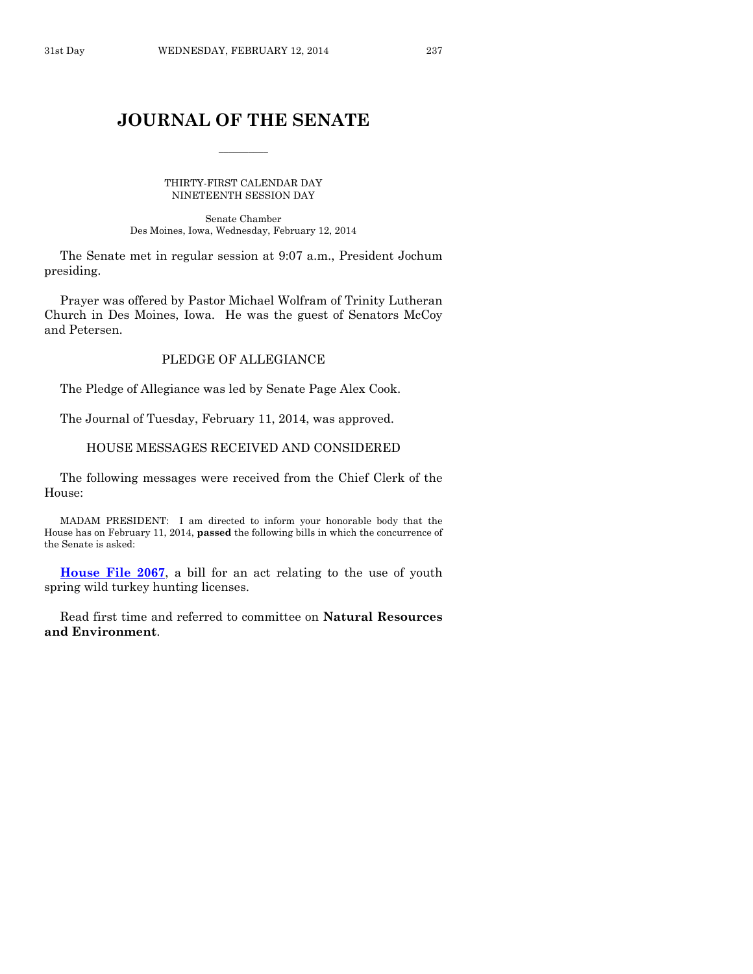# **JOURNAL OF THE SENATE**

 $\overline{\phantom{a}}$ 

THIRTY-FIRST CALENDAR DAY NINETEENTH SESSION DAY

Senate Chamber Des Moines, Iowa, Wednesday, February 12, 2014

The Senate met in regular session at 9:07 a.m., President Jochum presiding.

Prayer was offered by Pastor Michael Wolfram of Trinity Lutheran Church in Des Moines, Iowa. He was the guest of Senators McCoy and Petersen.

# PLEDGE OF ALLEGIANCE

The Pledge of Allegiance was led by Senate Page Alex Cook.

The Journal of Tuesday, February 11, 2014, was approved.

HOUSE MESSAGES RECEIVED AND CONSIDERED

The following messages were received from the Chief Clerk of the House:

MADAM PRESIDENT: I am directed to inform your honorable body that the House has on February 11, 2014, **passed** the following bills in which the concurrence of the Senate is asked:

**[House File 2067](http://coolice.legis.iowa.gov/Cool-ICE/default.asp?Category=billinfo&Service=Billbook&frame=1&GA=85&hbill=HF2067)**, a bill for an act relating to the use of youth spring wild turkey hunting licenses.

Read first time and referred to committee on **Natural Resources and Environment**.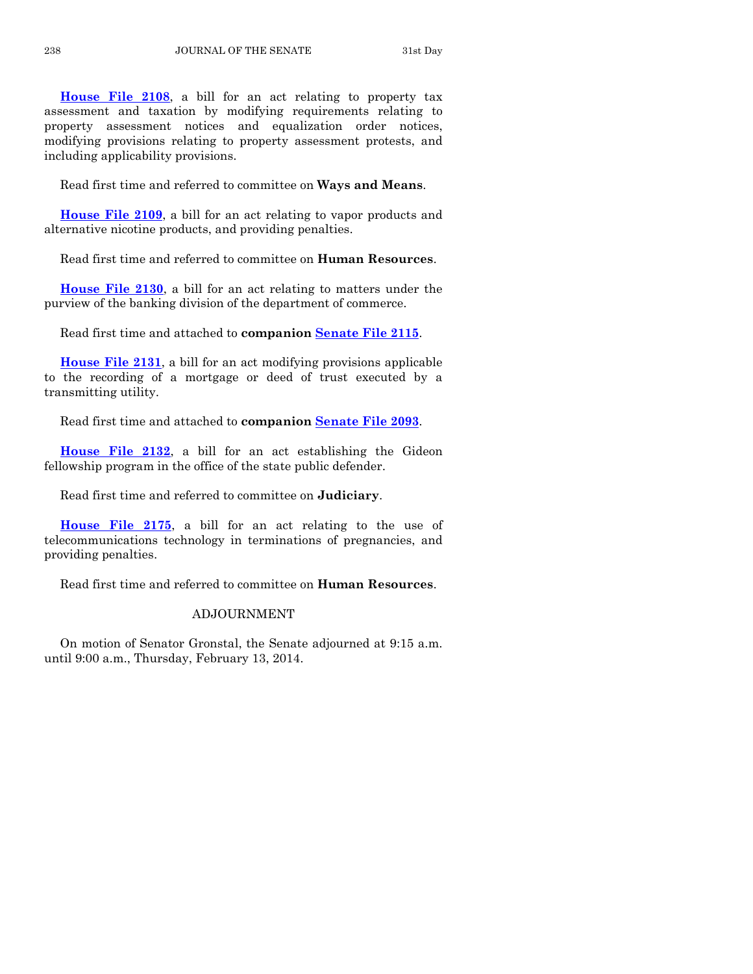**[House File 2108](http://coolice.legis.iowa.gov/Cool-ICE/default.asp?Category=billinfo&Service=Billbook&frame=1&GA=85&hbill=HF2108)**, a bill for an act relating to property tax assessment and taxation by modifying requirements relating to property assessment notices and equalization order notices, modifying provisions relating to property assessment protests, and including applicability provisions.

Read first time and referred to committee on **Ways and Means**.

**[House File 2109](http://coolice.legis.iowa.gov/Cool-ICE/default.asp?Category=billinfo&Service=Billbook&frame=1&GA=85&hbill=HF2109)**, a bill for an act relating to vapor products and alternative nicotine products, and providing penalties.

Read first time and referred to committee on **Human Resources**.

**[House File 2130](http://coolice.legis.iowa.gov/Cool-ICE/default.asp?Category=billinfo&Service=Billbook&frame=1&GA=85&hbill=HF2130)**, a bill for an act relating to matters under the purview of the banking division of the department of commerce.

Read first time and attached to **companion [Senate File 2115](http://coolice.legis.iowa.gov/Cool-ICE/default.asp?Category=billinfo&Service=Billbook&frame=1&GA=85&hbill=SF2115)**.

**[House File 2131](http://coolice.legis.iowa.gov/Cool-ICE/default.asp?Category=billinfo&Service=Billbook&frame=1&GA=85&hbill=HF2131)**, a bill for an act modifying provisions applicable to the recording of a mortgage or deed of trust executed by a transmitting utility.

Read first time and attached to **companion [Senate File 2093](http://coolice.legis.iowa.gov/Cool-ICE/default.asp?Category=billinfo&Service=Billbook&frame=1&GA=85&hbill=SF2093)**.

**[House File 2132](http://coolice.legis.iowa.gov/Cool-ICE/default.asp?Category=billinfo&Service=Billbook&frame=1&GA=85&hbill=HF2132)**, a bill for an act establishing the Gideon fellowship program in the office of the state public defender.

Read first time and referred to committee on **Judiciary**.

**[House File 2175](http://coolice.legis.iowa.gov/Cool-ICE/default.asp?Category=billinfo&Service=Billbook&frame=1&GA=85&hbill=HF2175)**, a bill for an act relating to the use of telecommunications technology in terminations of pregnancies, and providing penalties.

Read first time and referred to committee on **Human Resources**.

# ADJOURNMENT

On motion of Senator Gronstal, the Senate adjourned at 9:15 a.m. until 9:00 a.m., Thursday, February 13, 2014.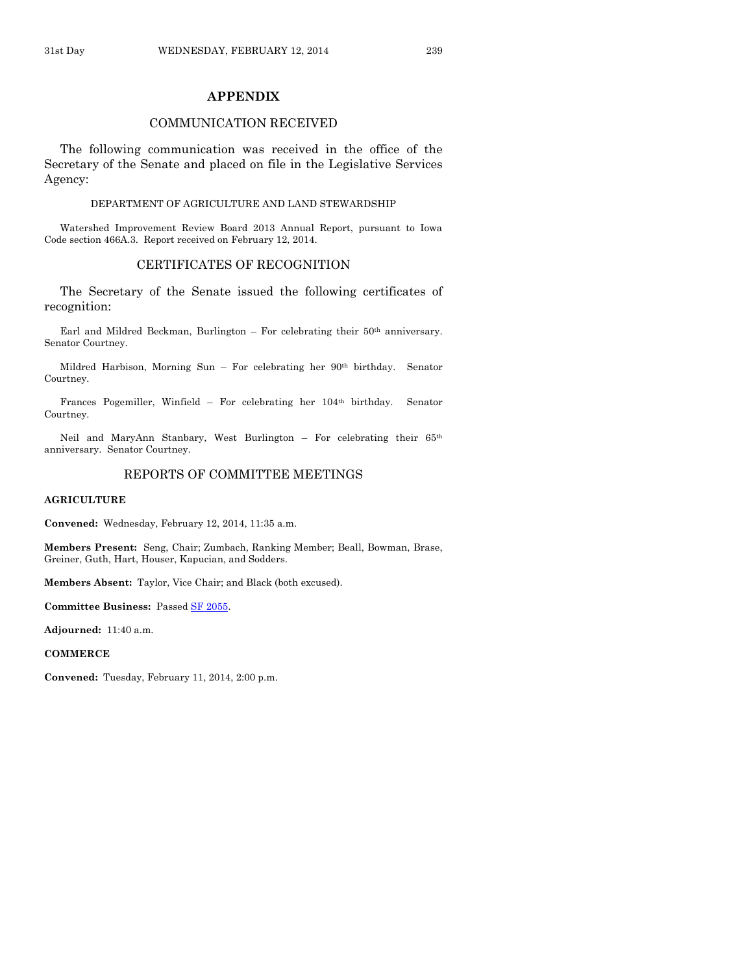# **APPENDIX**

# COMMUNICATION RECEIVED

The following communication was received in the office of the Secretary of the Senate and placed on file in the Legislative Services Agency:

#### DEPARTMENT OF AGRICULTURE AND LAND STEWARDSHIP

Watershed Improvement Review Board 2013 Annual Report, pursuant to Iowa Code section 466A.3. Report received on February 12, 2014.

# CERTIFICATES OF RECOGNITION

The Secretary of the Senate issued the following certificates of recognition:

Earl and Mildred Beckman, Burlington – For celebrating their 50th anniversary. Senator Courtney.

Mildred Harbison, Morning Sun – For celebrating her 90th birthday. Senator Courtney.

Frances Pogemiller, Winfield – For celebrating her 104th birthday. Senator Courtney.

Neil and MaryAnn Stanbary, West Burlington – For celebrating their 65th anniversary. Senator Courtney.

# REPORTS OF COMMITTEE MEETINGS

#### **AGRICULTURE**

**Convened:** Wednesday, February 12, 2014, 11:35 a.m.

**Members Present:** Seng, Chair; Zumbach, Ranking Member; Beall, Bowman, Brase, Greiner, Guth, Hart, Houser, Kapucian, and Sodders.

**Members Absent:** Taylor, Vice Chair; and Black (both excused).

**Committee Business:** Passed [SF 2055.](http://coolice.legis.iowa.gov/Cool-ICE/default.asp?Category=billinfo&Service=Billbook&frame=1&GA=85&hbill=SF2055)

**Adjourned:** 11:40 a.m.

**COMMERCE**

**Convened:** Tuesday, February 11, 2014, 2:00 p.m.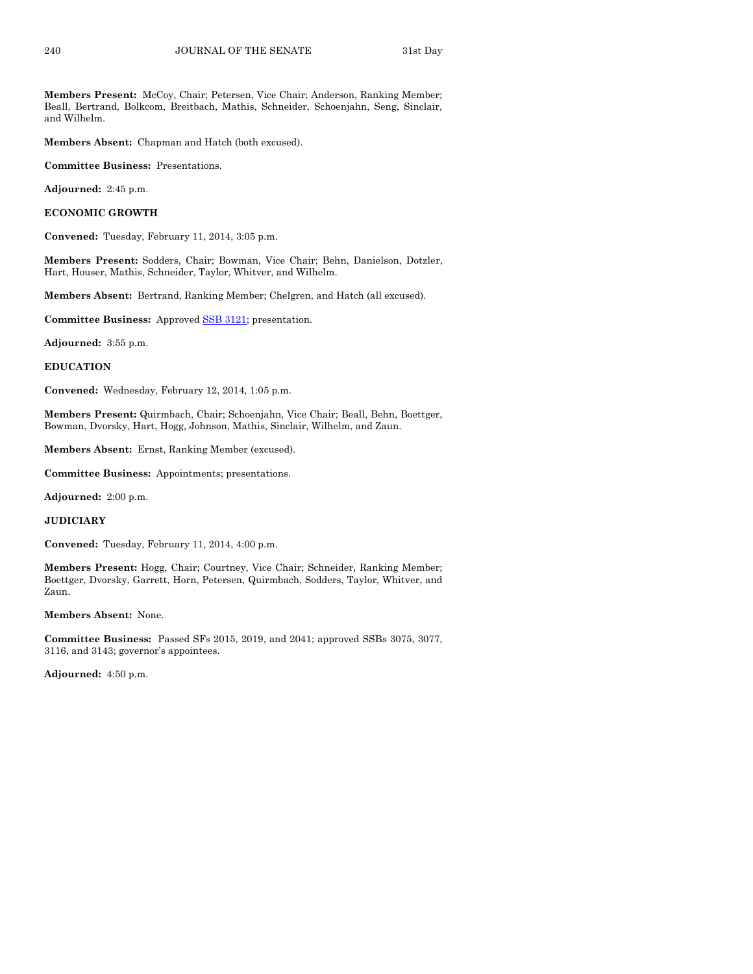**Members Present:** McCoy, Chair; Petersen, Vice Chair; Anderson, Ranking Member; Beall, Bertrand, Bolkcom, Breitbach, Mathis, Schneider, Schoenjahn, Seng, Sinclair, and Wilhelm.

**Members Absent:** Chapman and Hatch (both excused).

**Committee Business:** Presentations.

**Adjourned:** 2:45 p.m.

**ECONOMIC GROWTH**

**Convened:** Tuesday, February 11, 2014, 3:05 p.m.

**Members Present:** Sodders, Chair; Bowman, Vice Chair; Behn, Danielson, Dotzler, Hart, Houser, Mathis, Schneider, Taylor, Whitver, and Wilhelm.

**Members Absent:** Bertrand, Ranking Member; Chelgren, and Hatch (all excused).

**Committee Business:** Approved [SSB 3121;](http://coolice.legis.iowa.gov/Cool-ICE/default.asp?Category=billinfo&Service=Billbook&frame=1&GA=85&hbill=SSB3121) presentation.

**Adjourned:** 3:55 p.m.

**EDUCATION**

**Convened:** Wednesday, February 12, 2014, 1:05 p.m.

**Members Present:** Quirmbach, Chair; Schoenjahn, Vice Chair; Beall, Behn, Boettger, Bowman, Dvorsky, Hart, Hogg, Johnson, Mathis, Sinclair, Wilhelm, and Zaun.

**Members Absent:** Ernst, Ranking Member (excused).

**Committee Business:** Appointments; presentations.

**Adjourned:** 2:00 p.m.

**JUDICIARY**

**Convened:** Tuesday, February 11, 2014, 4:00 p.m.

**Members Present:** Hogg, Chair; Courtney, Vice Chair; Schneider, Ranking Member; Boettger, Dvorsky, Garrett, Horn, Petersen, Quirmbach, Sodders, Taylor, Whitver, and Zaun.

**Members Absent:** None.

**Committee Business:** Passed SFs 2015, 2019, and 2041; approved SSBs 3075, 3077, 3116, and 3143; governor's appointees.

**Adjourned:** 4:50 p.m.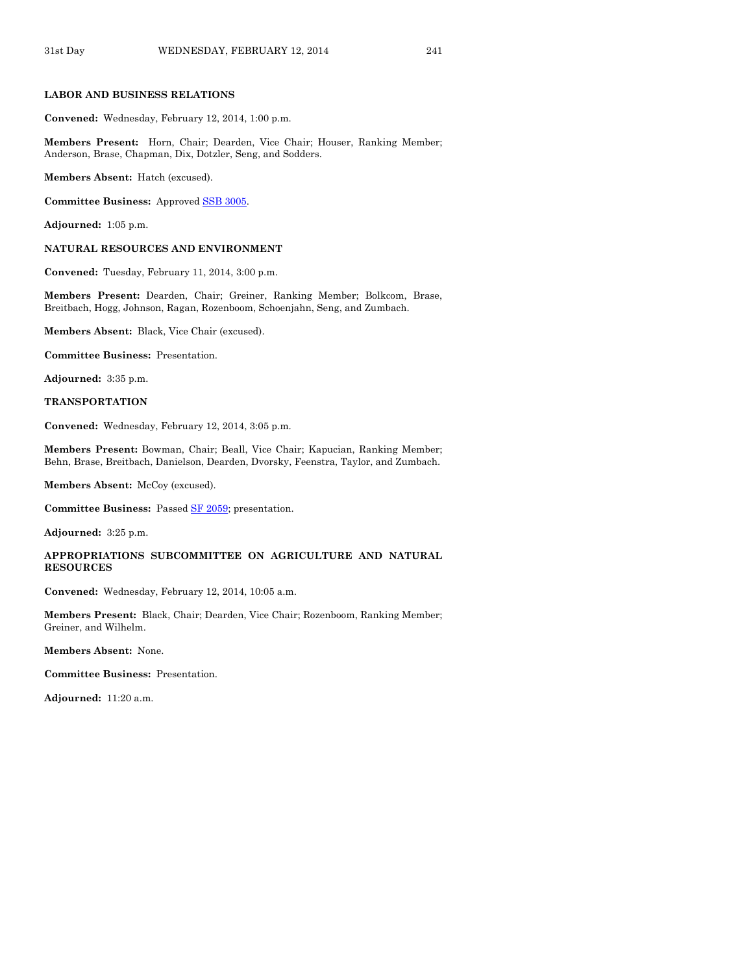#### **LABOR AND BUSINESS RELATIONS**

**Convened:** Wednesday, February 12, 2014, 1:00 p.m.

**Members Present:** Horn, Chair; Dearden, Vice Chair; Houser, Ranking Member; Anderson, Brase, Chapman, Dix, Dotzler, Seng, and Sodders.

**Members Absent:** Hatch (excused).

**Committee Business:** Approved [SSB 3005.](http://coolice.legis.iowa.gov/Cool-ICE/default.asp?Category=billinfo&Service=Billbook&frame=1&GA=85&hbill=SSB3005)

**Adjourned:** 1:05 p.m.

#### **NATURAL RESOURCES AND ENVIRONMENT**

**Convened:** Tuesday, February 11, 2014, 3:00 p.m.

**Members Present:** Dearden, Chair; Greiner, Ranking Member; Bolkcom, Brase, Breitbach, Hogg, Johnson, Ragan, Rozenboom, Schoenjahn, Seng, and Zumbach.

**Members Absent:** Black, Vice Chair (excused).

**Committee Business:** Presentation.

**Adjourned:** 3:35 p.m.

#### **TRANSPORTATION**

**Convened:** Wednesday, February 12, 2014, 3:05 p.m.

**Members Present:** Bowman, Chair; Beall, Vice Chair; Kapucian, Ranking Member; Behn, Brase, Breitbach, Danielson, Dearden, Dvorsky, Feenstra, Taylor, and Zumbach.

**Members Absent:** McCoy (excused).

**Committee Business:** Passed [SF 2059;](http://coolice.legis.iowa.gov/Cool-ICE/default.asp?Category=billinfo&Service=Billbook&frame=1&GA=85&hbill=SF2059) presentation.

**Adjourned:** 3:25 p.m.

# **APPROPRIATIONS SUBCOMMITTEE ON AGRICULTURE AND NATURAL RESOURCES**

**Convened:** Wednesday, February 12, 2014, 10:05 a.m.

**Members Present:** Black, Chair; Dearden, Vice Chair; Rozenboom, Ranking Member; Greiner, and Wilhelm.

**Members Absent:** None.

**Committee Business:** Presentation.

**Adjourned:** 11:20 a.m.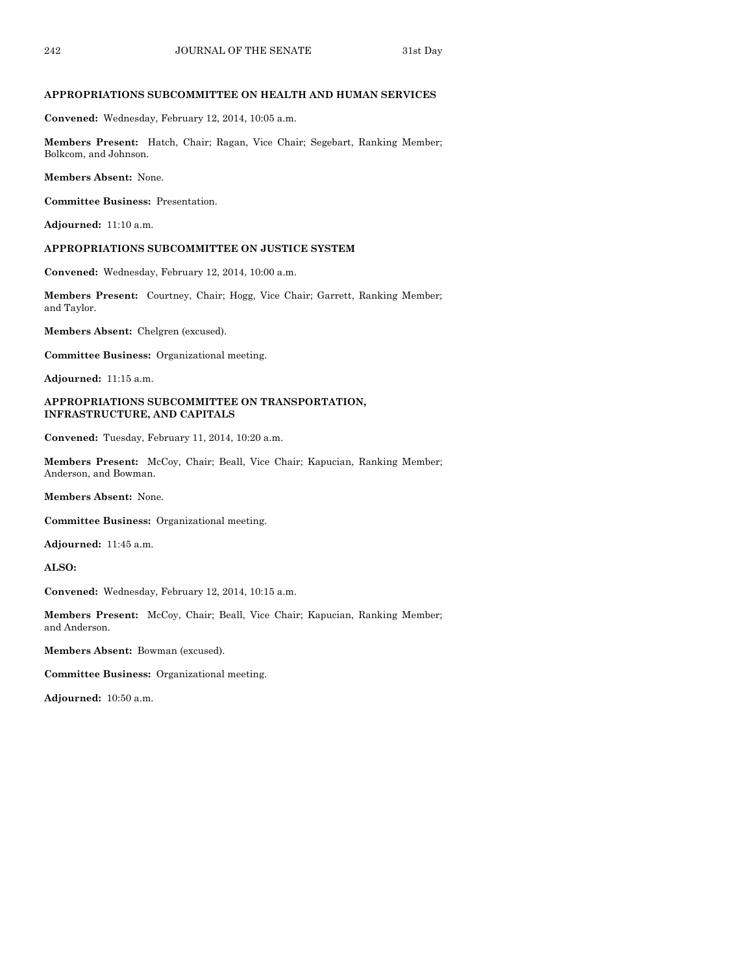# **APPROPRIATIONS SUBCOMMITTEE ON HEALTH AND HUMAN SERVICES**

**Convened:** Wednesday, February 12, 2014, 10:05 a.m.

**Members Present:** Hatch, Chair; Ragan, Vice Chair; Segebart, Ranking Member; Bolkcom, and Johnson.

**Members Absent:** None.

**Committee Business:** Presentation.

**Adjourned:** 11:10 a.m.

#### **APPROPRIATIONS SUBCOMMITTEE ON JUSTICE SYSTEM**

**Convened:** Wednesday, February 12, 2014, 10:00 a.m.

**Members Present:** Courtney, Chair; Hogg, Vice Chair; Garrett, Ranking Member; and Taylor.

**Members Absent:** Chelgren (excused).

**Committee Business:** Organizational meeting.

**Adjourned:** 11:15 a.m.

#### **APPROPRIATIONS SUBCOMMITTEE ON TRANSPORTATION, INFRASTRUCTURE, AND CAPITALS**

**Convened:** Tuesday, February 11, 2014, 10:20 a.m.

**Members Present:** McCoy, Chair; Beall, Vice Chair; Kapucian, Ranking Member; Anderson, and Bowman.

**Members Absent:** None.

**Committee Business:** Organizational meeting.

**Adjourned:** 11:45 a.m.

**ALSO:**

**Convened:** Wednesday, February 12, 2014, 10:15 a.m.

**Members Present:** McCoy, Chair; Beall, Vice Chair; Kapucian, Ranking Member; and Anderson.

**Members Absent:** Bowman (excused).

**Committee Business:** Organizational meeting.

**Adjourned:** 10:50 a.m.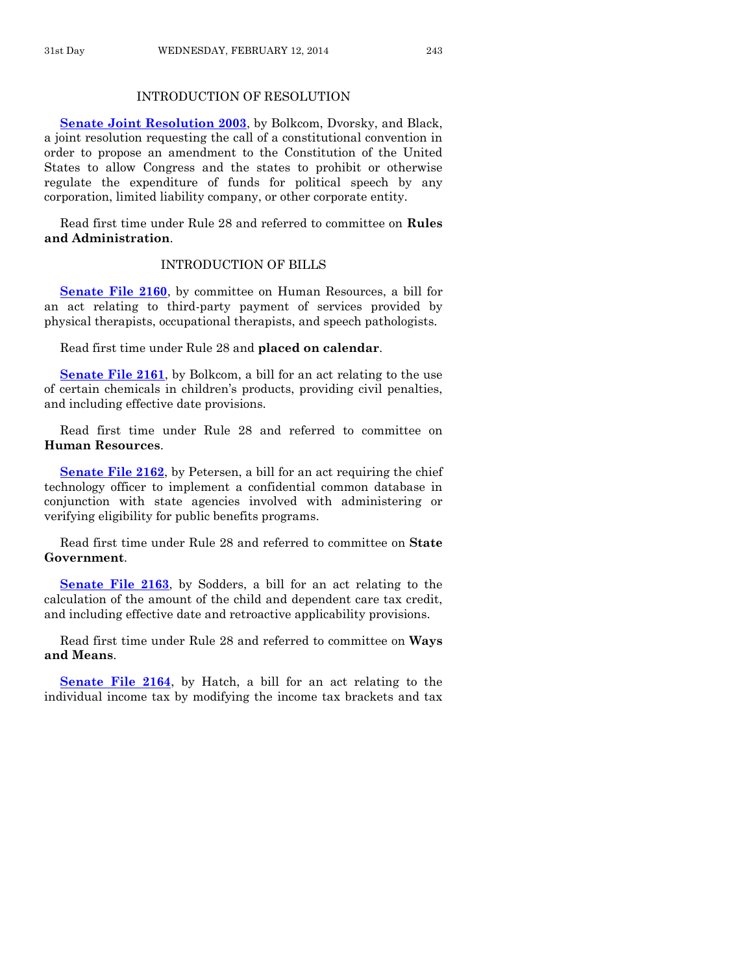# INTRODUCTION OF RESOLUTION

**[Senate Joint Resolution 2003](http://coolice.legis.iowa.gov/Cool-ICE/default.asp?Category=billinfo&Service=Billbook&frame=1&GA=85&hbill=SJR2003)**, by Bolkcom, Dvorsky, and Black, a joint resolution requesting the call of a constitutional convention in order to propose an amendment to the Constitution of the United States to allow Congress and the states to prohibit or otherwise regulate the expenditure of funds for political speech by any corporation, limited liability company, or other corporate entity.

Read first time under Rule 28 and referred to committee on **Rules and Administration**.

# INTRODUCTION OF BILLS

**[Senate File 2160](http://coolice.legis.iowa.gov/Cool-ICE/default.asp?Category=billinfo&Service=Billbook&frame=1&GA=85&hbill=SF2160)**, by committee on Human Resources, a bill for an act relating to third-party payment of services provided by physical therapists, occupational therapists, and speech pathologists.

Read first time under Rule 28 and **placed on calendar**.

**[Senate File 2161](http://coolice.legis.iowa.gov/Cool-ICE/default.asp?Category=billinfo&Service=Billbook&frame=1&GA=85&hbill=SF2161)**, by Bolkcom, a bill for an act relating to the use of certain chemicals in children's products, providing civil penalties, and including effective date provisions.

Read first time under Rule 28 and referred to committee on **Human Resources**.

**[Senate File 2162](http://coolice.legis.iowa.gov/Cool-ICE/default.asp?Category=billinfo&Service=Billbook&frame=1&GA=85&hbill=SF2162)**, by Petersen, a bill for an act requiring the chief technology officer to implement a confidential common database in conjunction with state agencies involved with administering or verifying eligibility for public benefits programs.

Read first time under Rule 28 and referred to committee on **State Government**.

**[Senate File 2163](http://coolice.legis.iowa.gov/Cool-ICE/default.asp?Category=billinfo&Service=Billbook&frame=1&GA=85&hbill=SF2163)**, by Sodders, a bill for an act relating to the calculation of the amount of the child and dependent care tax credit, and including effective date and retroactive applicability provisions.

Read first time under Rule 28 and referred to committee on **Ways and Means**.

**[Senate File 2164](http://coolice.legis.iowa.gov/Cool-ICE/default.asp?Category=billinfo&Service=Billbook&frame=1&GA=85&hbill=SF2164)**, by Hatch, a bill for an act relating to the individual income tax by modifying the income tax brackets and tax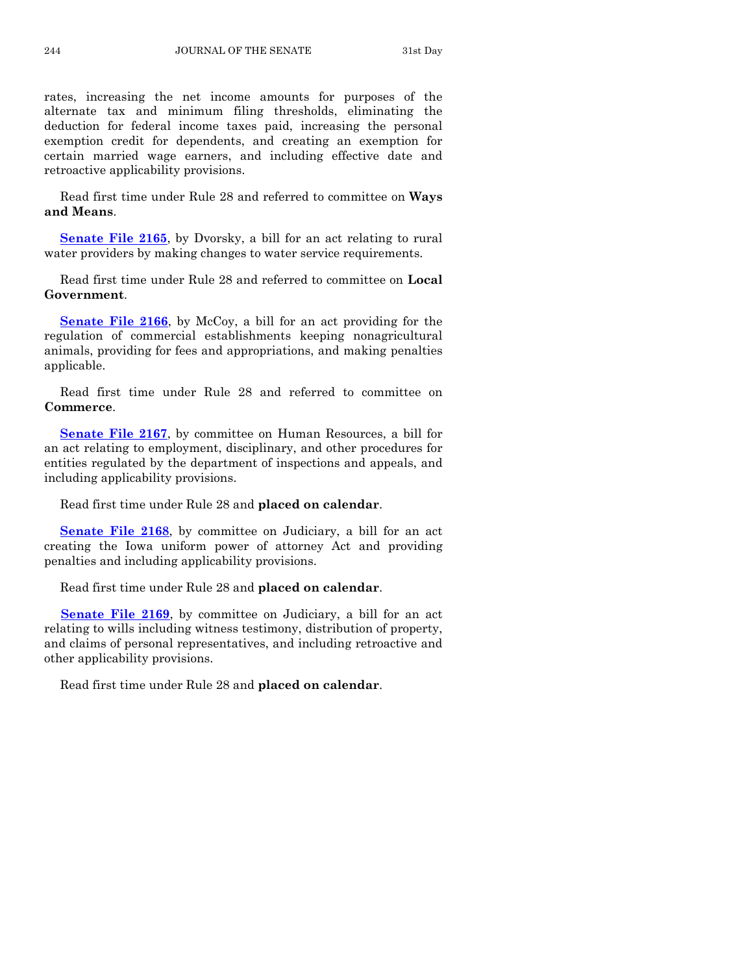rates, increasing the net income amounts for purposes of the alternate tax and minimum filing thresholds, eliminating the deduction for federal income taxes paid, increasing the personal exemption credit for dependents, and creating an exemption for certain married wage earners, and including effective date and retroactive applicability provisions.

Read first time under Rule 28 and referred to committee on **Ways and Means**.

**[Senate File 2165](http://coolice.legis.iowa.gov/Cool-ICE/default.asp?Category=billinfo&Service=Billbook&frame=1&GA=85&hbill=SF2165)**, by Dvorsky, a bill for an act relating to rural water providers by making changes to water service requirements.

Read first time under Rule 28 and referred to committee on **Local Government**.

**[Senate File 2166](http://coolice.legis.iowa.gov/Cool-ICE/default.asp?Category=billinfo&Service=Billbook&frame=1&GA=85&hbill=SF2166)**, by McCoy, a bill for an act providing for the regulation of commercial establishments keeping nonagricultural animals, providing for fees and appropriations, and making penalties applicable.

Read first time under Rule 28 and referred to committee on **Commerce**.

**[Senate File 2167](http://coolice.legis.iowa.gov/Cool-ICE/default.asp?Category=billinfo&Service=Billbook&frame=1&GA=85&hbill=SF2167)**, by committee on Human Resources, a bill for an act relating to employment, disciplinary, and other procedures for entities regulated by the department of inspections and appeals, and including applicability provisions.

Read first time under Rule 28 and **placed on calendar**.

**[Senate File 2168](http://coolice.legis.iowa.gov/Cool-ICE/default.asp?Category=billinfo&Service=Billbook&frame=1&GA=85&hbill=SF2168)**, by committee on Judiciary, a bill for an act creating the Iowa uniform power of attorney Act and providing penalties and including applicability provisions.

Read first time under Rule 28 and **placed on calendar**.

**[Senate File 2169](http://coolice.legis.iowa.gov/Cool-ICE/default.asp?Category=billinfo&Service=Billbook&frame=1&GA=85&hbill=SF2169)**, by committee on Judiciary, a bill for an act relating to wills including witness testimony, distribution of property, and claims of personal representatives, and including retroactive and other applicability provisions.

Read first time under Rule 28 and **placed on calendar**.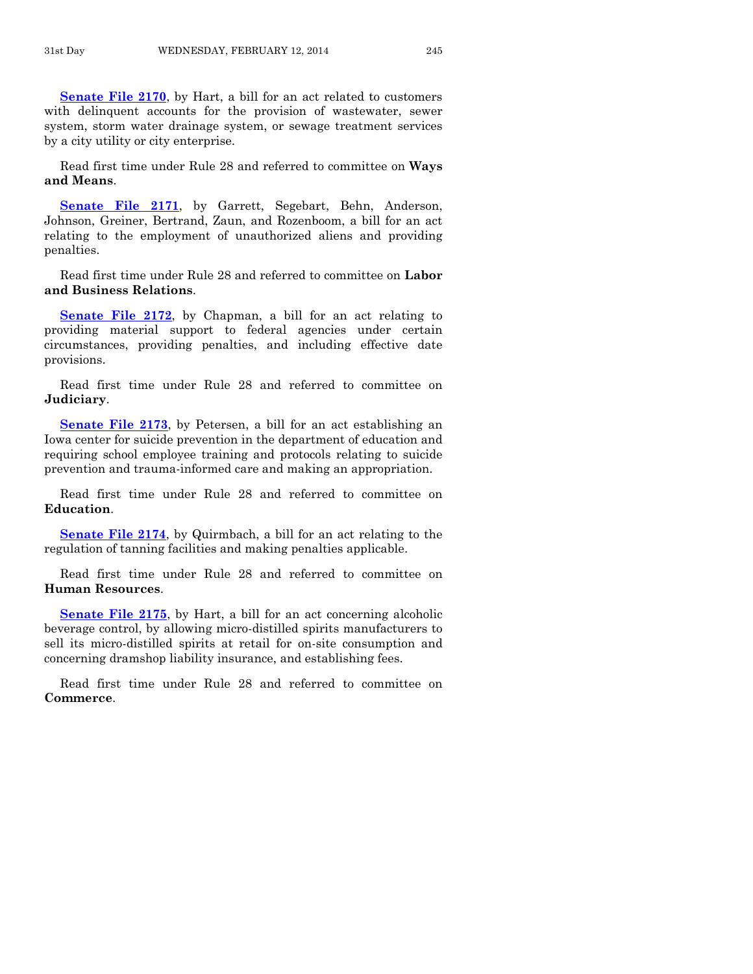**[Senate File 2170](http://coolice.legis.iowa.gov/Cool-ICE/default.asp?Category=billinfo&Service=Billbook&frame=1&GA=85&hbill=SF2170)**, by Hart, a bill for an act related to customers with delinquent accounts for the provision of wastewater, sewer system, storm water drainage system, or sewage treatment services by a city utility or city enterprise.

Read first time under Rule 28 and referred to committee on **Ways and Means**.

**[Senate File 2171](http://coolice.legis.iowa.gov/Cool-ICE/default.asp?Category=billinfo&Service=Billbook&frame=1&GA=85&hbill=SF2171)**, by Garrett, Segebart, Behn, Anderson, Johnson, Greiner, Bertrand, Zaun, and Rozenboom, a bill for an act relating to the employment of unauthorized aliens and providing penalties.

Read first time under Rule 28 and referred to committee on **Labor and Business Relations**.

**[Senate File 2172](http://coolice.legis.iowa.gov/Cool-ICE/default.asp?Category=billinfo&Service=Billbook&frame=1&GA=85&hbill=SF2172)**, by Chapman, a bill for an act relating to providing material support to federal agencies under certain circumstances, providing penalties, and including effective date provisions.

Read first time under Rule 28 and referred to committee on **Judiciary**.

**[Senate File 2173](http://coolice.legis.iowa.gov/Cool-ICE/default.asp?Category=billinfo&Service=Billbook&frame=1&GA=85&hbill=SF2173)**, by Petersen, a bill for an act establishing an Iowa center for suicide prevention in the department of education and requiring school employee training and protocols relating to suicide prevention and trauma-informed care and making an appropriation.

Read first time under Rule 28 and referred to committee on **Education**.

**[Senate File 2174](http://coolice.legis.iowa.gov/Cool-ICE/default.asp?Category=billinfo&Service=Billbook&frame=1&GA=85&hbill=SF2174)**, by Quirmbach, a bill for an act relating to the regulation of tanning facilities and making penalties applicable.

Read first time under Rule 28 and referred to committee on **Human Resources**.

**[Senate File 2175](http://coolice.legis.iowa.gov/Cool-ICE/default.asp?Category=billinfo&Service=Billbook&frame=1&GA=85&hbill=SF2175)**, by Hart, a bill for an act concerning alcoholic beverage control, by allowing micro-distilled spirits manufacturers to sell its micro-distilled spirits at retail for on-site consumption and concerning dramshop liability insurance, and establishing fees.

Read first time under Rule 28 and referred to committee on **Commerce**.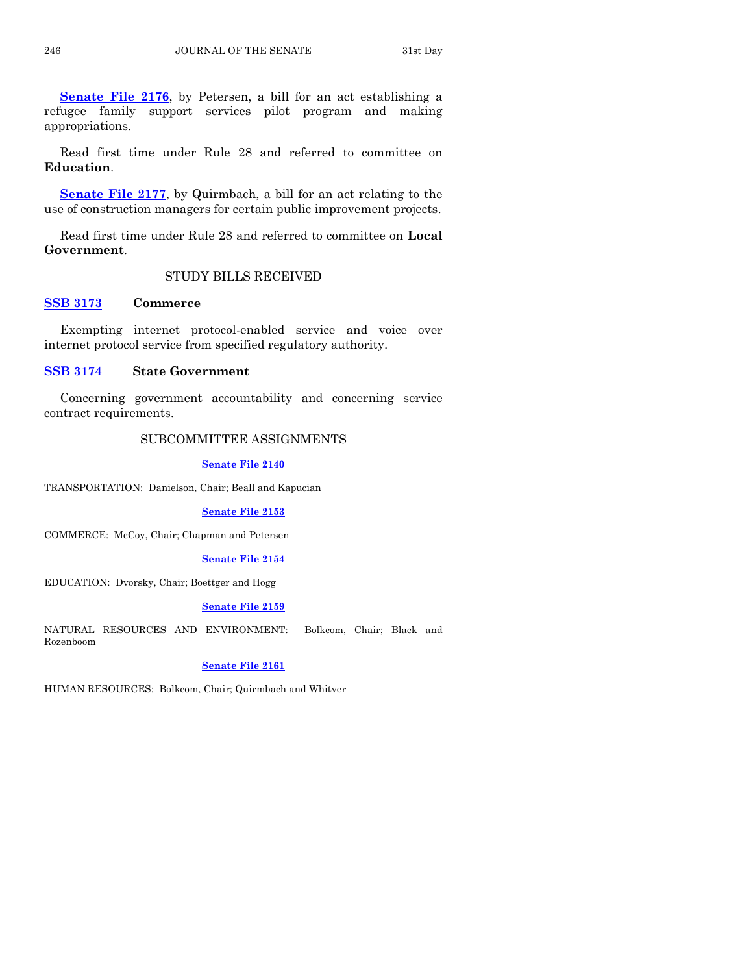**[Senate File 2176](http://coolice.legis.iowa.gov/Cool-ICE/default.asp?Category=billinfo&Service=Billbook&frame=1&GA=85&hbill=SF2176)**, by Petersen, a bill for an act establishing a refugee family support services pilot program and making appropriations.

Read first time under Rule 28 and referred to committee on **Education**.

**[Senate File 2177](http://coolice.legis.iowa.gov/Cool-ICE/default.asp?Category=billinfo&Service=Billbook&frame=1&GA=85&hbill=SF2177)**, by Quirmbach, a bill for an act relating to the use of construction managers for certain public improvement projects.

Read first time under Rule 28 and referred to committee on **Local Government**.

# STUDY BILLS RECEIVED

# **[SSB 3173](http://coolice.legis.iowa.gov/Cool-ICE/default.asp?Category=billinfo&Service=Billbook&frame=1&GA=85&hbill=SSB3173) Commerce**

Exempting internet protocol-enabled service and voice over internet protocol service from specified regulatory authority.

# **[SSB 3174](http://coolice.legis.iowa.gov/Cool-ICE/default.asp?Category=billinfo&Service=Billbook&frame=1&GA=85&hbill=SSB3174) State Government**

Concerning government accountability and concerning service contract requirements.

# SUBCOMMITTEE ASSIGNMENTS

#### **[Senate File 2140](http://coolice.legis.iowa.gov/Cool-ICE/default.asp?Category=billinfo&Service=Billbook&frame=1&GA=85&hbill=SF2140)**

TRANSPORTATION: Danielson, Chair; Beall and Kapucian

#### **[Senate File 2153](http://coolice.legis.iowa.gov/Cool-ICE/default.asp?Category=billinfo&Service=Billbook&frame=1&GA=85&hbill=SF2153)**

COMMERCE: McCoy, Chair; Chapman and Petersen

#### **[Senate File 2154](http://coolice.legis.iowa.gov/Cool-ICE/default.asp?Category=billinfo&Service=Billbook&frame=1&GA=85&hbill=SF2154)**

EDUCATION: Dvorsky, Chair; Boettger and Hogg

#### **[Senate File 2159](http://coolice.legis.iowa.gov/Cool-ICE/default.asp?Category=billinfo&Service=Billbook&frame=1&GA=85&hbill=SF2159)**

NATURAL RESOURCES AND ENVIRONMENT: Bolkcom, Chair; Black and Rozenboom

# **[Senate File 2161](http://coolice.legis.iowa.gov/Cool-ICE/default.asp?Category=billinfo&Service=Billbook&frame=1&GA=85&hbill=SF2161)**

HUMAN RESOURCES: Bolkcom, Chair; Quirmbach and Whitver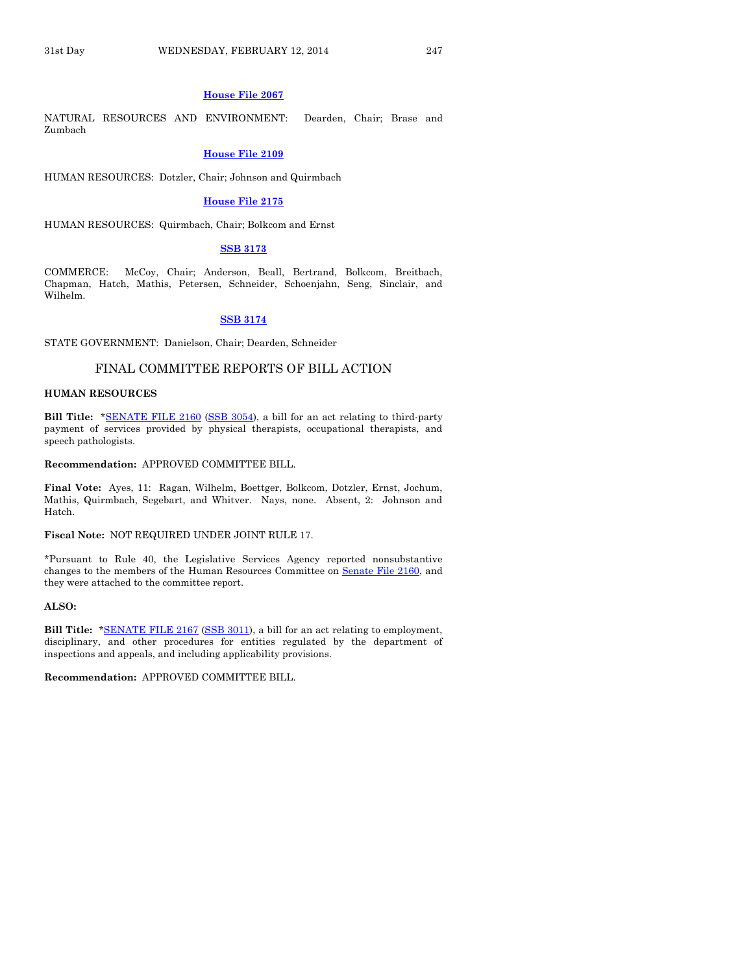#### **[House File 2067](http://coolice.legis.iowa.gov/Cool-ICE/default.asp?Category=billinfo&Service=Billbook&frame=1&GA=85&hbill=HF2067)**

NATURAL RESOURCES AND ENVIRONMENT: Dearden, Chair; Brase and Zumbach

#### **[House File 2109](http://coolice.legis.iowa.gov/Cool-ICE/default.asp?Category=billinfo&Service=Billbook&frame=1&GA=85&hbill=HF2109)**

HUMAN RESOURCES: Dotzler, Chair; Johnson and Quirmbach

#### **[House File 2175](http://coolice.legis.iowa.gov/Cool-ICE/default.asp?Category=billinfo&Service=Billbook&frame=1&GA=85&hbill=HF2175)**

HUMAN RESOURCES: Quirmbach, Chair; Bolkcom and Ernst

#### **[SSB 3173](http://coolice.legis.iowa.gov/Cool-ICE/default.asp?Category=billinfo&Service=Billbook&frame=1&GA=85&hbill=SSB3173)**

COMMERCE: McCoy, Chair; Anderson, Beall, Bertrand, Bolkcom, Breitbach, Chapman, Hatch, Mathis, Petersen, Schneider, Schoenjahn, Seng, Sinclair, and Wilhelm.

#### **[SSB 3174](http://coolice.legis.iowa.gov/Cool-ICE/default.asp?Category=billinfo&Service=Billbook&frame=1&GA=85&hbill=SSB3174)**

STATE GOVERNMENT: Danielson, Chair; Dearden, Schneider

# FINAL COMMITTEE REPORTS OF BILL ACTION

#### **HUMAN RESOURCES**

**Bill Title:** [\\*SENATE FILE 2160](http://coolice.legis.iowa.gov/Cool-ICE/default.asp?Category=billinfo&Service=Billbook&frame=1&GA=85&hbill=SF2160) [\(SSB 3054\)](http://coolice.legis.iowa.gov/Cool-ICE/default.asp?Category=billinfo&Service=Billbook&frame=1&GA=85&hbill=SSB3054), a bill for an act relating to third-party payment of services provided by physical therapists, occupational therapists, and speech pathologists.

# **Recommendation:** APPROVED COMMITTEE BILL.

**Final Vote:** Ayes, 11: Ragan, Wilhelm, Boettger, Bolkcom, Dotzler, Ernst, Jochum, Mathis, Quirmbach, Segebart, and Whitver. Nays, none. Absent, 2: Johnson and Hatch.

#### **Fiscal Note:** NOT REQUIRED UNDER JOINT RULE 17.

\*Pursuant to Rule 40, the Legislative Services Agency reported nonsubstantive changes to the members of the Human Resources Committee on Senate [File 2160,](http://coolice.legis.iowa.gov/Cool-ICE/default.asp?Category=billinfo&Service=Billbook&frame=1&GA=85&hbill=SF2160) and they were attached to the committee report.

#### **ALSO:**

**Bill Title:** [\\*SENATE FILE 2167](http://coolice.legis.iowa.gov/Cool-ICE/default.asp?Category=billinfo&Service=Billbook&frame=1&GA=85&hbill=SF2167) [\(SSB 3011\)](http://coolice.legis.iowa.gov/Cool-ICE/default.asp?Category=billinfo&Service=Billbook&frame=1&GA=85&hbill=SSB3011), a bill for an act relating to employment, disciplinary, and other procedures for entities regulated by the department of inspections and appeals, and including applicability provisions.

**Recommendation:** APPROVED COMMITTEE BILL.